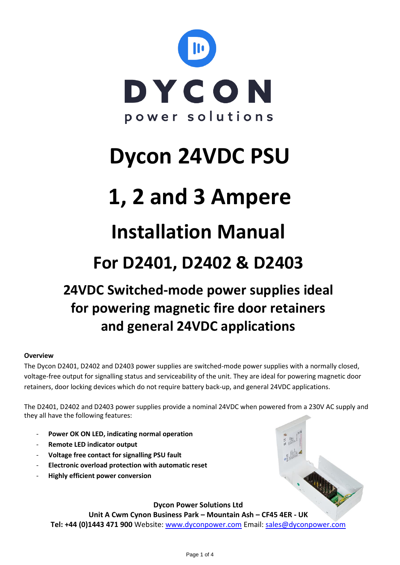

# **Dycon 24VDC PSU**

# **1, 2 and 3 Ampere**

## **Installation Manual**

## **For D2401, D2402 & D2403**

### **24VDC Switched-mode power supplies ideal for powering magnetic fire door retainers and general 24VDC applications**

#### **Overview**

The Dycon D2401, D2402 and D2403 power supplies are switched-mode power supplies with a normally closed, voltage-free output for signalling status and serviceability of the unit. They are ideal for powering magnetic door retainers, door locking devices which do not require battery back-up, and general 24VDC applications.

The D2401, D2402 and D2403 power supplies provide a nominal 24VDC when powered from a 230V AC supply and they all have the following features:

- Power OK ON LED, indicating normal operation
- **Remote LED indicator output**
- **Voltage free contact for signalling PSU fault**
- **Electronic overload protection with automatic reset**
- **Highly efficient power conversion**

**Dycon Power Solutions Ltd**

**Unit A Cwm Cynon Business Park – Mountain Ash – CF45 4ER - UK Tel: +44 (0)1443 471 900** Website: [www.dyconpower.com](http://www.dyconpower.com/) Email: [sales@dyconpower.com](mailto:sales@dyconpower.com)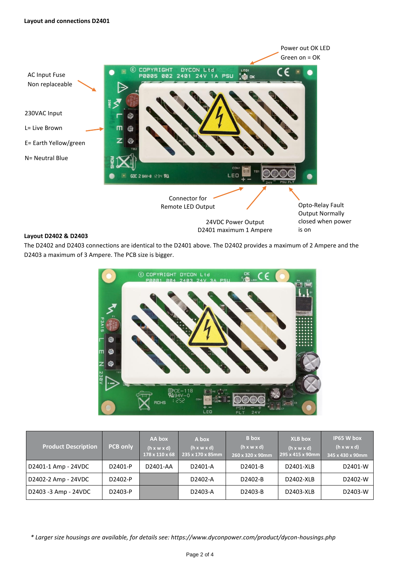

#### **Layout D2402 & D2403**

The D2402 and D2403 connections are identical to the D2401 above. The D2402 provides a maximum of 2 Ampere and the D2403 a maximum of 3 Ampere. The PCB size is bigger.



| <b>Product Description</b> | <b>PCB only</b> | AA box<br>$(h \times w \times d)$<br>178 x 110 x 68 | A box<br>$(h \times w \times d)$<br>235 x 170 x 85mm | <b>B</b> box<br>(h x w x d)<br>260 x 320 x 90mm | <b>XLB</b> box<br>$(h \times w \times d)$<br>295 x 415 x 90mm | IP65 W box<br>(h x w x d)<br>345 x 430 x 90mm |
|----------------------------|-----------------|-----------------------------------------------------|------------------------------------------------------|-------------------------------------------------|---------------------------------------------------------------|-----------------------------------------------|
| D2401-1 Amp - 24VDC        | D2401-P         | D2401-AA                                            | D2401-A                                              | D2401-B                                         | D2401-XLB                                                     | D2401-W                                       |
| D2402-2 Amp - 24VDC        | D2402-P         |                                                     | D2402-A                                              | D2402-B                                         | D2402-XLB                                                     | D2402-W                                       |
| D2403 -3 Amp - 24VDC       | D2403-P         |                                                     | D2403-A                                              | D2403-B                                         | D2403-XLB                                                     | D2403-W                                       |

*\* Larger size housings are available, for details see: https://www.dyconpower.com/product/dycon-housings.php*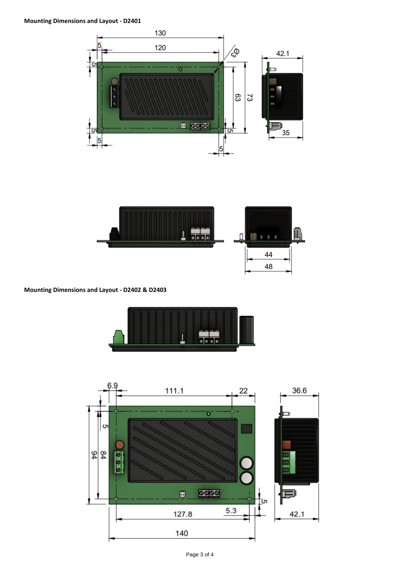#### **Mounting Dimensions and Layout - D2401**





**Mounting Dimensions and Layout - D2402 & D2403**